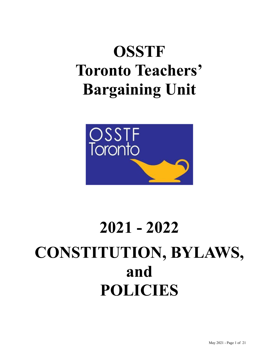# **OSSTF Toronto Teachers' Bargaining Unit**



# **2021 - 2022 CONSTITUTION, BYLAWS, and POLICIES**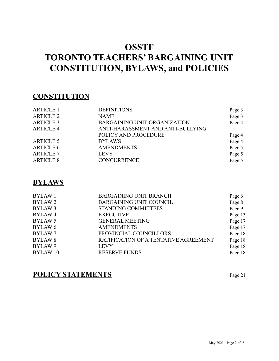# **OSSTF TORONTO TEACHERS' BARGAINING UNIT CONSTITUTION, BYLAWS, and POLICIES**

# **CONSTITUTION**

| <b>ARTICLE 1</b> | <b>DEFINITIONS</b>                  | Page 3 |
|------------------|-------------------------------------|--------|
| <b>ARTICLE 2</b> | <b>NAME</b>                         | Page 3 |
| <b>ARTICLE 3</b> | <b>BARGAINING UNIT ORGANIZATION</b> | Page 4 |
| <b>ARTICLE 4</b> | ANTI-HARASSMENT AND ANTI-BULLYING   |        |
|                  | POLICY AND PROCEDURE                | Page 4 |
| <b>ARTICLE 5</b> | <b>BYLAWS</b>                       | Page 4 |
| <b>ARTICLE 6</b> | <b>AMENDMENTS</b>                   | Page 5 |
| <b>ARTICLE 7</b> | <b>LEVY</b>                         | Page 5 |
| <b>ARTICLE 8</b> | <b>CONCURRENCE</b>                  | Page 5 |

# **BYLAWS**

| <b>BYLAW1</b>      | <b>BARGAINING UNIT BRANCH</b>         | Page 6  |
|--------------------|---------------------------------------|---------|
| <b>BYLAW2</b>      | <b>BARGAINING UNIT COUNCIL</b>        | Page 8  |
| BYLAW <sub>3</sub> | <b>STANDING COMMITTEES</b>            | Page 9  |
| BYLAW <sub>4</sub> | <b>EXECUTIVE</b>                      | Page 13 |
| BYLAW 5            | <b>GENERAL MEETING</b>                | Page 17 |
| BYLAW <sub>6</sub> | <b>AMENDMENTS</b>                     | Page 17 |
| <b>BYLAW 7</b>     | PROVINCIAL COUNCILLORS                | Page 18 |
| <b>BYLAW 8</b>     | RATIFICATION OF A TENTATIVE AGREEMENT | Page 18 |
| BYLAW <sub>9</sub> | <b>LEVY</b>                           | Page 18 |
| <b>BYLAW10</b>     | <b>RESERVE FUNDS</b>                  | Page 18 |

# **POLICY STATEMENTS** Page <sup>21</sup>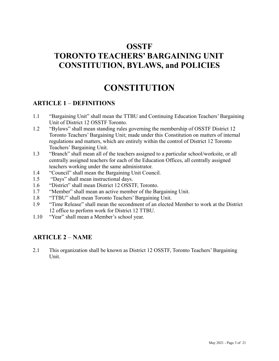# **OSSTF TORONTO TEACHERS' BARGAINING UNIT CONSTITUTION, BYLAWS, and POLICIES**

# **CONSTITUTION**

#### **ARTICLE 1** – **DEFINITIONS**

- 1.1 "Bargaining Unit" shall mean the TTBU and Continuing Education Teachers' Bargaining Unit of District 12 OSSTF Toronto.
- 1.2 "Bylaws" shall mean standing rules governing the membership of OSSTF District 12 Toronto Teachers' Bargaining Unit; made under this Constitution on matters of internal regulations and matters, which are entirely within the control of District 12 Toronto Teachers' Bargaining Unit.
- 1.3 "Branch" shall mean all of the teachers assigned to a particular school/worksite, or all centrally assigned teachers for each of the Education Offices, all centrally assigned teachers working under the same administrator.
- 1.4 "Council" shall mean the Bargaining Unit Council.
- 1.5 "Days" shall mean instructional days.
- 1.6 "District" shall mean District 12 OSSTF, Toronto.
- 1.7 "Member" shall mean an active member of the Bargaining Unit.
- 1.8 "TTBU" shall mean Toronto Teachers' Bargaining Unit.
- 1.9 "Time Release" shall mean the secondment of an elected Member to work at the District 12 office to perform work for District 12 TTBU.
- 1.10 "Year" shall mean a Member's school year.

## **ARTICLE 2** – **NAME**

2.1 This organization shall be known as District 12 OSSTF, Toronto Teachers' Bargaining Unit.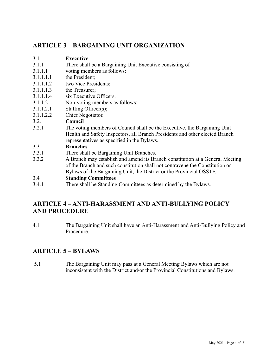## **ARTICLE 3** – **BARGAINING UNIT ORGANIZATION**

#### 3.1 **Executive**

- 3.1.1 There shall be a Bargaining Unit Executive consisting of
- 3.1.1.1 voting members as follows:
- 3.1.1.1.1 the President;
- 3.1.1.1.2 two Vice Presidents;
- 3.1.1.1.3 the Treasurer;
- 3.1.1.1.4 six Executive Officers.
- 3.1.1.2 Non-voting members as follows:
- 3.1.1.2.1 Staffing Officer(s);
- 3.1.1.2.2 Chief Negotiator.

#### 3.2. **Council**

3.2.1 The voting members of Council shall be the Executive, the Bargaining Unit Health and Safety Inspectors, all Branch Presidents and other elected Branch representatives as specified in the Bylaws.

#### 3.3 **Branches**

- 3.3.1 There shall be Bargaining Unit Branches.
- 3.3.2 A Branch may establish and amend its Branch constitution at a General Meeting of the Branch and such constitution shall not contravene the Constitution or Bylaws of the Bargaining Unit, the District or the Provincial OSSTF.

#### 3.4 **Standing Committees**

3.4.1 There shall be Standing Committees as determined by the Bylaws.

# **ARTICLE 4 – ANTI-HARASSMENT AND ANTI-BULLYING POLICY AND PROCEDURE**

4.1 The Bargaining Unit shall have an Anti-Harassment and Anti-Bullying Policy and Procedure.

# **ARTICLE 5** – **BYLAWS**

5.1 The Bargaining Unit may pass at a General Meeting Bylaws which are not inconsistent with the District and/or the Provincial Constitutions and Bylaws.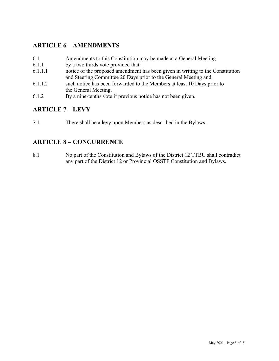## **ARTICLE 6** – **AMENDMENTS**

- 6.1 Amendments to this Constitution may be made at a General Meeting
- 6.1.1 by a two thirds vote provided that:
- 6.1.1.1 notice of the proposed amendment has been given in writing to the Constitution and Steering Committee 20 Days prior to the General Meeting and,
- 6.1.1.2 such notice has been forwarded to the Members at least 10 Days prior to the General Meeting.
- 6.1.2 By a nine-tenths vote if previous notice has not been given.

## **ARTICLE 7 – LEVY**

7.1 There shall be a levy upon Members as described in the Bylaws.

#### **ARTICLE 8 – CONCURRENCE**

8.1 No part of the Constitution and Bylaws of the District 12 TTBU shall contradict any part of the District 12 or Provincial OSSTF Constitution and Bylaws.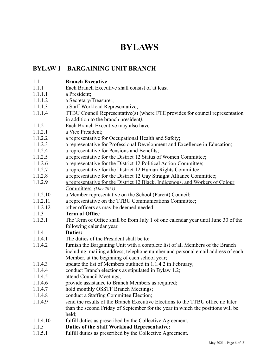# **BYLAWS**

# **BYLAW 1** – **BARGAINING UNIT BRANCH**

- 1.1 **Branch Executive**
- 1.1.1 Each Branch Executive shall consist of at least
- 1.1.1.1 a President;
- 1.1.1.2 a Secretary/Treasurer;
- 1.1.1.3 a Staff Workload Representative;
- 1.1.1.4 TTBU Council Representative(s) (where FTE provides for council representation in addition to the branch president*).*
- 1.1.2 Each Branch Executive may also have
- 1.1.2.1 a Vice President;
- 1.1.2.2 a representative for Occupational Health and Safety;
- 1.1.2.3 a representative for Professional Development and Excellence in Education;
- 1.1.2.4 a representative for Pensions and Benefits;
- 1.1.2.5 a representative for the District 12 Status of Women Committee;
- 1.1.2.6 a representative for the District 12 Political Action Committee;
- 1.1.2.7 a representative for the District 12 Human Rights Committee;
- 1.1.2.8 a representative for the District 12 Gay Straight Alliance Committee;
- 1.1.2.9 a representative for the District 12 Black, Indigenous, and Workers of Colour Committee; *(May 2021)*
- 1.1.2.10 a Member representative on the School (Parent) Council;
- 1.1.2.11 a representative on the TTBU Communications Committee;
- 1.1.2.12 other officers as may be deemed needed.

#### 1.1.3 **Term of Office**

1.1.3.1 The Term of Office shall be from July 1 of one calendar year until June 30 of the following calendar year.

#### 1.1.4 **Duties:**

- 1.1.4.1 The duties of the President shall be to:
- 1.1.4.2 furnish the Bargaining Unit with a complete list of all Members of the Branch including mailing address, telephone number and personal email address of each Member, at the beginning of each school year;
- 1.1.4.3 update the list of Members outlined in 1.1.4.2 in February;
- 1.1.4.4 conduct Branch elections as stipulated in Bylaw 1.2;
- 1.1.4.5 attend Council Meetings;
- 1.1.4.6 provide assistance to Branch Members as required;
- 1.1.4.7 hold monthly OSSTF Branch Meetings;
- 1.1.4.8 conduct a Staffing Committee Election;
- 1.1.4.9 send the results of the Branch Executive Elections to the TTBU office no later than the second Friday of September for the year in which the positions will be held;
- 1.1.4.10 fulfill duties as prescribed by the Collective Agreement.
- 1.1.5 **Duties of the Staff Workload Representative:**
- 1.1.5.1 fulfill duties as prescribed by the Collective Agreement.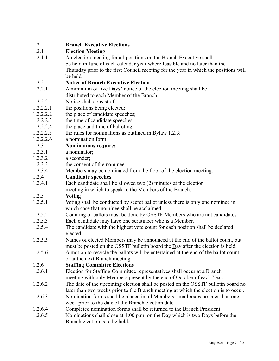#### 1.2 **Branch Executive Elections**

#### 1.2.1 **Election Meeting**

1.2.1.1 An election meeting for all positions on the Branch Executive shall be held in June of each calendar year where feasible and no later than the Thursday prior to the first Council meeting for the year in which the positions will be held.

#### 1.2.2 **Notice of Branch Executive Election**

- 1.2.2.1 A minimum of five Days**'** notice of the election meeting shall be distributed to each Member of the Branch.
- 1.2.2.2 Notice shall consist of:
- 1.2.2.2.1 the positions being elected;
- 1.2.2.2.2 the place of candidate speeches;
- 1.2.2.2.3 the time of candidate speeches;
- 1.2.2.2.4 the place and time of balloting;
- 1.2.2.2.5 the rules for nominations as outlined in Bylaw 1.2.3;
- 1.2.2.2.6 a nomination form.

#### 1.2.3 **Nominations require:**

- 1.2.3.1 a nominator;
- 1.2.3.2 a seconder;
- 1.2.3.3 the consent of the nominee.
- 1.2.3.4 Members may be nominated from the floor of the election meeting.

#### 1.2.4 **Candidate speeches**

1.2.4.1 Each candidate shall be allowed two (2) minutes at the election meeting in which to speak to the Members of the Branch.

#### 1.2.5 **Voting**

- 1.2.5.1 Voting shall be conducted by secret ballot unless there is only one nominee in which case that nominee shall be acclaimed.
- 1.2.5.2 Counting of ballots must be done by OSSTF Members who are not candidates.
- 1.2.5.3 Each candidate may have one scrutineer who is a Member.
- 1.2.5.4 The candidate with the highest vote count for each position shall be declared elected.
- 1.2.5.5 Names of elected Members may be announced at the end of the ballot count, but must be posted on the OSSTF bulletin board the Day after the election is held.
- 1.2.5.6 A motion to recycle the ballots will be entertained at the end of the ballot count, or at the next Branch meeting.

#### 1.2.6 **Staffing Committee Elections**

- 1.2.6.1 Election for Staffing Committee representatives shall occur at a Branch meeting with only Members present by the end of October of each Year.
- 1.2.6.2 The date of the upcoming election shall be posted on the OSSTF bulletin board no later than two weeks prior to the Branch meeting at which the election is to occur.
- 1.2.6.3 Nomination forms shall be placed in all Members= mailboxes no later than one week prior to the date of the Branch election date.
- 1.2.6.4 Completed nomination forms shall be returned to the Branch President.
- 1.2.6.5 Nominations shall close at 4:00 p.m. on the Day which is two Days before the Branch election is to be held.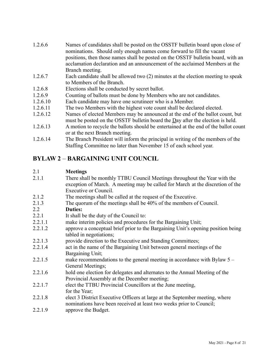| 1.2.6.6  | Names of candidates shall be posted on the OSSTF bulletin board upon close of<br>nominations. Should only enough names come forward to fill the vacant |
|----------|--------------------------------------------------------------------------------------------------------------------------------------------------------|
|          | positions, then those names shall be posted on the OSSTF bulletin board, with an                                                                       |
|          | acclamation declaration and an announcement of the acclaimed Members at the                                                                            |
|          | Branch meeting.                                                                                                                                        |
| 1.2.6.7  | Each candidate shall be allowed two (2) minutes at the election meeting to speak                                                                       |
|          | to Members of the Branch.                                                                                                                              |
| 1.2.6.8  | Elections shall be conducted by secret ballot.                                                                                                         |
| 1.2.6.9  | Counting of ballots must be done by Members who are not candidates.                                                                                    |
| 1.2.6.10 | Each candidate may have one scrutineer who is a Member.                                                                                                |
| 1.2.6.11 | The two Members with the highest vote count shall be declared elected.                                                                                 |
| 1.2.6.12 | Names of elected Members may be announced at the end of the ballot count, but                                                                          |
|          | must be posted on the OSSTF bulletin board the $\Delta$ ay after the election is held.                                                                 |
| 1.2.6.13 | A motion to recycle the ballots should be entertained at the end of the ballot count                                                                   |
|          | or at the next Branch meeting.                                                                                                                         |
| 1.2.6.14 | The Branch President will inform the principal in writing of the members of the                                                                        |
|          | Staffing Committee no later than November 15 of each school year.                                                                                      |

# **BYLAW 2** – **BARGAINING UNIT COUNCIL**

## 2.1 **Meetings**

| 2.1.1   | There shall be monthly TTBU Council Meetings throughout the Year with the<br>exception of March. A meeting may be called for March at the discretion of the |
|---------|-------------------------------------------------------------------------------------------------------------------------------------------------------------|
|         | Executive or Council.                                                                                                                                       |
| 2.1.2   | The meetings shall be called at the request of the Executive.                                                                                               |
| 2.1.3   | The quorum of the meetings shall be 40% of the members of Council.                                                                                          |
| 2.2     | <b>Duties:</b>                                                                                                                                              |
| 2.2.1   | It shall be the duty of the Council to:                                                                                                                     |
| 2.2.1.1 | make interim policies and procedures for the Bargaining Unit;                                                                                               |
| 2.2.1.2 | approve a conceptual brief prior to the Bargaining Unit's opening position being<br>tabled in negotiations;                                                 |
| 2.2.1.3 | provide direction to the Executive and Standing Committees;                                                                                                 |
| 2.2.1.4 | act in the name of the Bargaining Unit between general meetings of the                                                                                      |
|         | Bargaining Unit;                                                                                                                                            |
| 2.2.1.5 | make recommendations to the general meeting in accordance with Bylaw $5 -$<br>General Meetings;                                                             |
| 2.2.1.6 | hold one election for delegates and alternates to the Annual Meeting of the<br>Provincial Assembly at the December meeting;                                 |
| 2.2.1.7 | elect the TTBU Provincial Councillors at the June meeting,<br>for the Year;                                                                                 |
| 2.2.1.8 | elect 3 District Executive Officers at large at the September meeting, where<br>nominations have been received at least two weeks prior to Council;         |
| 2.2.1.9 | approve the Budget.                                                                                                                                         |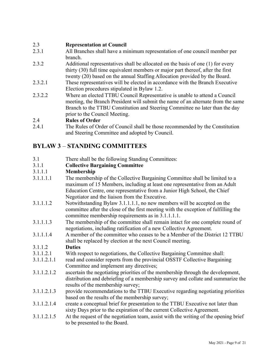#### 2.3 **Representation at Council**

- 2.3.1 All Branches shall have a minimum representation of one council member per branch.
- 2.3.2 Additional representatives shall be allocated on the basis of one (1) for every thirty (30) full time equivalent members or major part thereof, after the first twenty (20) based on the annual Staffing Allocation provided by the Board.
- 2.3.2.1 These representatives will be elected in accordance with the Branch Executive Election procedures stipulated in Bylaw 1.2.
- 2.3.2.2 Where an elected TTBU Council Representative is unable to attend a Council meeting, the Branch President will submit the name of an alternate from the same Branch to the TTBU Constitution and Steering Committee no later than the day prior to the Council Meeting.

#### 2.4 **Rules of Order**

2.4.1 The Rules of Order of Council shall be those recommended by the Constitution and Steering Committee and adopted by Council.

# **BYLAW 3** – **STANDING COMMITTEES**

- 3.1 There shall be the following Standing Committees:
- 3.1.1 **Collective Bargaining Committee**

#### 3.1.1.1 **Membership**

- 3.1.1.1.1 The membership of the Collective Bargaining Committee shall be limited to a maximum of 15 Members, including at least one representative from an Adult Education Centre, one representative from a Junior High School, the Chief Negotiator and the liaison from the Executive.
- 3.1.1.1.2 Notwithstanding Bylaw 3.1.1.1.1, no new members will be accepted on the committee after the close of the first meeting with the exception of fulfilling the committee membership requirements as in 3.1.1.1.1.
- 3.1.1.1.3 The membership of the committee shall remain intact for one complete round of negotiations, including ratification of a new Collective Agreement.
- 3.1.1.1.4 A member of the committee who ceases to be a Member of the District 12 TTBU shall be replaced by election at the next Council meeting.

#### 3.1.1.2 **Duties**

- 3.1.1.2.1 With respect to negotiations, the Collective Bargaining Committee shall:
- 3.1.1.2.1.1 read and consider reports from the provincial OSSTF Collective Bargaining Committee and implement any directives;
- 3.1.1.2.1.2 ascertain the negotiating priorities of the membership through the development, distribution and debriefing of a membership survey and collate and summarize the results of the membership survey;
- 3.1.1.2.1.3 provide recommendations to the TTBU Executive regarding negotiating priorities based on the results of the membership survey;
- 3.1.1.2.1.4 create a conceptual brief for presentation to the TTBU Executive not later than sixty Days prior to the expiration of the current Collective Agreement.
- 3.1.1.2.1.5 At the request of the negotiation team, assist with the writing of the opening brief to be presented to the Board.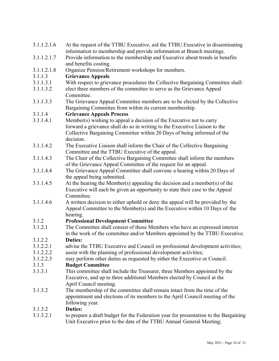| 3.1.1.2.1.6 | At the request of the TTBU Executive, aid the TTBU Executive in disseminating                         |
|-------------|-------------------------------------------------------------------------------------------------------|
|             | information to membership and provide information at Branch meetings.                                 |
| 3.1.1.2.1.7 | Provide information to the membership and Executive about trends in benefits<br>and benefits costing. |
| 3.1.1.2.1.8 | Organize Pension/Retirement workshops for members.                                                    |
| 3.1.1.3     | <b>Grievance Appeals</b>                                                                              |
| 3.1.1.3.1   | With respect to grievance procedures the Collective Bargaining Committee shall:                       |
| 3.1.1.3.2   | elect three members of the committee to serve as the Grievance Appeal                                 |
|             | Committee.                                                                                            |
| 3.1.1.3.3   | The Grievance Appeal Committee members are to be elected by the Collective                            |
|             | Bargaining Committee from within its current membership.                                              |
| 3.1.1.4     | <b>Grievance Appeals Process</b>                                                                      |
| 3.1.1.4.1   | Member(s) wishing to appeal a decision of the Executive not to carry                                  |
|             | forward a grievance shall do so in writing to the Executive Liaison to the                            |
|             | Collective Bargaining Committee within 20 Days of being informed of the                               |
|             | decision.                                                                                             |
| 3.1.1.4.2   | The Executive Liaison shall inform the Chair of the Collective Bargaining                             |
|             | Committee and the TTBU Executive of the appeal.                                                       |
| 3.1.1.4.3   | The Chair of the Collective Bargaining Committee shall inform the members                             |
|             | of the Grievance Appeal Committee of the request for an appeal.                                       |
| 3.1.1.4.4   | The Grievance Appeal Committee shall convene a hearing within 20 Days of                              |
|             | the appeal being submitted.                                                                           |
| 3.1.1.4.5   | At the hearing the Member(s) appealing the decision and a member(s) of the                            |
|             | Executive will each be given an opportunity to state their case to the Appeal                         |
|             | Committee.                                                                                            |
| 3.1.1.4.6   | A written decision to either uphold or deny the appeal will be provided by the                        |
|             | Appeal Committee to the Member(s) and the Executive within 10 Days of the                             |
|             | hearing.                                                                                              |
| 3.1.2       | <b>Professional Development Committee</b>                                                             |
| 3.1.2.1     | The Committee shall consist of those Members who have an expressed interest                           |
|             | in the work of the committee and/or Members appointed by the TTBU Executive.                          |
| 3.1.2.2     | <b>Duties:</b>                                                                                        |
| 3.1.2.2.1   | advise the TTBU Executive and Council on professional development activities;                         |
| 3.1.2.2.2   | assist with the planning of professional development activities;                                      |
| 3.1.2.2.3   | may perform other duties as requested by either the Executive or Council.                             |
| 3.1.3       | <b>Budget Committee</b>                                                                               |
| 3.1.3.1     | This committee shall include the Treasurer, three Members appointed by the                            |
|             | Executive, and up to three additional Members elected by Council at the                               |
|             | April Council meeting.                                                                                |
| 3.1.3.2     | The membership of the committee shall-remain intact from the time of the                              |
|             | appointment and elections of its members to the April Council meeting of the                          |
|             | following year.                                                                                       |
| 3.1.3.2     | <b>Duties:</b>                                                                                        |
| 3.1.3.2.1   | to prepare a draft budget for the Federation year for presentation to the Bargaining                  |

Unit Executive prior to the date of the TTBU Annual General Meeting;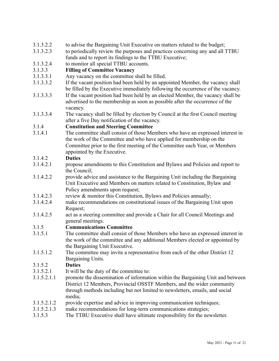#### 3.1.3.2.2 to advise the Bargaining Unit Executive on matters related to the budget;

- 3.1.3.2.3 to periodically review the purposes and practices concerning any and all TTBU funds and to report its findings to the TTBU Executive;
- 3.1.3.2.4 to monitor all special TTBU accounts.

#### 3.1.3.3 **Filling of Committee Vacancy**

- 3.1.3.3.1 Any vacancy on the committee shall be filled.
- 3.1.3.3.2 If the vacant position had been held by an appointed Member, the vacancy shall be filled by the Executive immediately following the occurrence of the vacancy.
- 3.1.3.3.3 If the vacant position had been held by an elected Member, the vacancy shall be advertised to the membership as soon as possible after the occurrence of the vacancy.
- 3.1.3.3.4 The vacancy shall be filled by election by Council at the first Council meeting after a five Day notification of the vacancy.

#### 3.1.4 **Constitution and Steering Committee**

3.1.4.1 The committee shall consist of those Members who have an expressed interest in the work of the Committee and who have applied for membership on the Committee prior to the first meeting of the Committee each Year, or Members appointed by the Executive.

#### 3.1.4.2 **Duties**

- 3.1.4.2.1 propose amendments to this Constitution and Bylaws and Policies and report to the Council;
- 3.1.4.2.2 provide advice and assistance to the Bargaining Unit including the Bargaining Unit Executive and Members on matters related to Constitution, Bylaw and Policy amendments upon request;
- 3.1.4.2.3 review & monitor this Constitution, Bylaws and Policies annually;
- 3.1.4.2.4 make recommendations on constitutional issues of the Bargaining Unit upon Request;
- 3.1.4.2.5 act as a steering committee and provide a Chair for all Council Meetings and general meetings.

# 3.1.5 **Communications Committee**

- The committee shall consist of those Members who have an expressed interest in the work of the committee and any additional Members elected or appointed by the Bargaining Unit Executive.
- 3.1.5.1.2 The committee may invite a representative from each of the other District 12 Bargaining Units.

#### 3.1.5.2 **Duties**

- 3.1.5.2.1 It will be the duty of the committee to:
- 3.1.5.2.1.1 promote the dissemination of information within the Bargaining Unit and between District 12 Members, Provincial OSSTF Members, and the wider community through methods including but not limited to newsletters, emails, and social media;
- 3.1.5.2.1.2 provide expertise and advice in improving communication techniques;
- 3.1.5.2.1.3 make recommendations for long-term communications strategies;
- 3.1.5.3 The TTBU Executive shall have ultimate responsibility for the newsletter.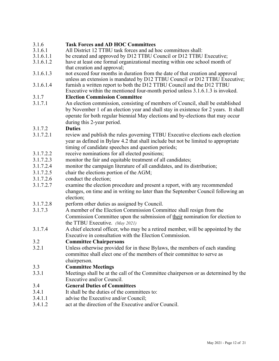# 3.1.6 **Task Forces and AD HOC Committees**

- All District 12 TTBU task forces and ad hoc committees shall:
- 3.1.6.1.1 be created and approved by D12 TTBU Council or D12 TTBU Executive;
- 3.1.6.1.2 have at least one formal organizational meeting within one school month of that creation and approval;
- 3.1.6.1.3 not exceed four months in duration from the date of that creation and approval unless an extension is mandated by D12 TTBU Council or D12 TTBU Executive;
- 3.1.6.1.4 furnish a written report to both the D12 TTBU Council and the D12 TTBU Executive within the mentioned four-month period unless 3.1.6.1.3 is invoked.

#### 3.1.7 **Election Commission Committee**

3.1.7.1 An election commission, consisting of members of Council, shall be established by November 1 of an election year and shall stay in existence for 2 years. It shall operate for both regular biennial May elections and by-elections that may occur during this 2-year period.

#### 3.1.7.2 **Duties**

- 3.1.7.2.1 review and publish the rules governing TTBU Executive elections each election year as defined in Bylaw 4.2 that shall include but not be limited to appropriate timing of candidate speeches and question periods;
- 3.1.7.2.2 receive nominations for all elected positions;
- 3.1.7.2.3 monitor the fair and equitable treatment of all candidates;
- 3.1.7.2.4 monitor the campaign literature of all candidates, and its distribution;
- 3.1.7.2.5 chair the elections portion of the AGM;
- 3.1.7.2.6 conduct the election;
- 3.1.7.2.7 examine the election procedure and present a report, with any recommended changes, on time and in writing no later than the September Council following an election;
- 3.1.7.2.8 perform other duties as assigned by Council.
- 3.1.7.3 A member of the Election Commission Committee shall resign from the Commission Committee upon the submission of their nomination for election to the TTBU Executive. *(May 2021)*
- 3.1.7.4 A chief electoral officer, who may be a retired member, will be appointed by the Executive in consultation with the Election Commission.

#### 3.2 **Committee Chairpersons**

3.2.1 Unless otherwise provided for in these Bylaws, the members of each standing committee shall elect one of the members of their committee to serve as chairperson.

#### 3.3 **Committee Meetings**

3.3.1 Meetings shall be at the call of the Committee chairperson or as determined by the Executive and/or Council.

#### 3.4 **General Duties of Committees**

- 3.4.1 It shall be the duties of the committees to:
- 3.4.1.1 advise the Executive and/or Council;
- 3.4.1.2 act at the direction of the Executive and/or Council.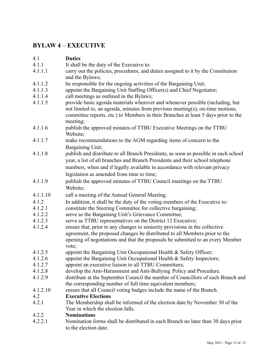## **BYLAW 4** – **EXECUTIVE**

#### 4.1 **Duties** 4.1.1 It shall be the duty of the Executive to: 4.1.1.1 carry out the policies, procedures, and duties assigned to it by the Constitution and the Bylaws; 4.1.1.2 be responsible for the ongoing activities of the Bargaining Unit; 4.1.1.3 appoint the Bargaining Unit Staffing Officer(s) and Chief Negotiator; 4.1.1.4 call meetings as outlined in the Bylaws; 4.1.1.5 provide basic agenda materials wherever and whenever possible (including, but not limited to, an agenda, minutes from previous meeting(s), on-time motions, committee reports, etc.) to Members in their Branches at least 5 days prior to the meeting; 4.1.1.6 publish the approved minutes of TTBU Executive Meetings on the TTBU Website; 4.1.1.7 make recommendations to the AGM regarding items of concern to the Bargaining Unit; 4.1.1.8 publish and distribute to all Branch Presidents, as soon as possible in each school year, a list of all branches and Branch Presidents and their school telephone numbers, when and if legally available in accordance with relevant privacy legislation as amended from time to time; 4.1.1.9 publish the approved minutes of TTBU Council meetings on the TTBU Website; 4.1.1.10 call a meeting of the Annual General Meeting. 4.1.2 In addition, it shall be the duty of the voting members of the Executive to: 4.1.2.1 constitute the Steering Committee for collective bargaining; 4.1.2.2 serve as the Bargaining Unit's Grievance Committee; 4.1.2.3 serve as TTBU representatives on the District 12 Executive; 4.1.2.4 ensure that, prior to any changes to seniority provisions in the collective agreement, the proposed changes be distributed to all Members prior to the opening of negotiations and that the proposals be submitted to an every Member vote; 4.1.2.5 appoint the Bargaining Unit Occupational Health & Safety Officer; 4.1.2.6 appoint the Bargaining Unit Occupational Health & Safety Inspectors; 4.1.2.7 appoint an executive liaison to all TTBU Committees; 4.1.2.8 develop the Anti-Harassment and Anti-Bullying Policy and Procedure. 4.1.2.9 distribute at the September Council the number of Councillors of each Branch and the corresponding number of full time equivalent members; 4.1.2.10 ensure that all Council voting badges include the name of the Branch. 4.2 **Executive Elections** 4.2.1 The Membership shall be informed of the election date by November 30 of the Year in which the election falls. 4.2.2 **Nominations**

4.2.2.1 Nomination forms shall be distributed in each Branch no later than 30 days prior to the election date.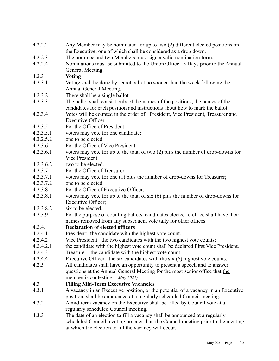| 4.2.2.2   | Any Member may be nominated for up to two (2) different elected positions on<br>the Executive, one of which shall be considered as a drop down. |
|-----------|-------------------------------------------------------------------------------------------------------------------------------------------------|
| 4.2.2.3   |                                                                                                                                                 |
| 4.2.2.4   | The nominee and two Members must sign a valid nomination form.                                                                                  |
|           | Nominations must be submitted to the Union Office 15 Days prior to the Annual                                                                   |
|           | General Meeting.                                                                                                                                |
| 4.2.3     | <b>Voting</b>                                                                                                                                   |
| 4.2.3.1   | Voting shall be done by secret ballot no sooner than the week following the<br>Annual General Meeting.                                          |
| 4.2.3.2   | There shall be a single ballot.                                                                                                                 |
| 4.2.3.3   | The ballot shall consist only of the names of the positions, the names of the                                                                   |
|           | candidates for each position and instructions about how to mark the ballot.                                                                     |
| 4.2.3.4   | Votes will be counted in the order of: President, Vice President, Treasurer and                                                                 |
|           | <b>Executive Officer.</b>                                                                                                                       |
| 4.2.3.5   | For the Office of President:                                                                                                                    |
| 4.2.3.5.1 | voters may vote for one candidate;                                                                                                              |
| 4.3.2.5.2 | one to be elected.                                                                                                                              |
| 4.2.3.6   | For the Office of Vice President:                                                                                                               |
| 4.2.3.6.1 | voters may vote for up to the total of two (2) plus the number of drop-downs for                                                                |
|           | Vice President;                                                                                                                                 |
| 4.2.3.6.2 | two to be elected.                                                                                                                              |
| 4.2.3.7   | For the Office of Treasurer:                                                                                                                    |
| 4.2.3.7.1 | voters may vote for one (1) plus the number of drop-downs for Treasurer;                                                                        |
| 4.2.3.7.2 | one to be elected.                                                                                                                              |
| 4.2.3.8   | For the Office of Executive Officer:                                                                                                            |
| 4.2.3.8.1 | voters may vote for up to the total of $six(6)$ plus the number of drop-downs for                                                               |
|           | Executive Officer;                                                                                                                              |
| 4.2.3.8.2 | six to be elected.                                                                                                                              |
| 4.2.3.9   | For the purpose of counting ballots, candidates elected to office shall have their                                                              |
|           | names removed from any subsequent vote tally for other offices.                                                                                 |
| 4.2.4.    | <b>Declaration of elected officers</b>                                                                                                          |
| 4.2.4.1   | President: the candidate with the highest vote count.                                                                                           |
| 4.2.4.2   | Vice President: the two candidates with the two highest vote counts;                                                                            |
| 4.2.4.2.1 | the candidate with the highest vote count shall be declared First Vice President.                                                               |
| 4.2.4.3   | Treasurer: the candidate with the highest vote count.                                                                                           |
| 4.2.4.4   | Executive Officer: the six candidates with the six (6) highest vote counts.                                                                     |
| 4.2.5     | All candidates shall have an opportunity to present a speech and to answer                                                                      |
|           | questions at the Annual General Meeting for the most senior office that the                                                                     |
|           | member is contesting. (May 2021)                                                                                                                |
| 4.3       | <b>Filling Mid-Term Executive Vacancies</b>                                                                                                     |
| 4.3.1     | A vacancy in an Executive position, or the potential of a vacancy in an Executive                                                               |
|           | position, shall be announced at a regularly scheduled Council meeting.                                                                          |
| 4.3.2     | A mid-term vacancy on the Executive shall be filled by Council vote at a                                                                        |
|           | regularly scheduled Council meeting.                                                                                                            |
| 4.3.3     | The date of an election to fill a vacancy shall be announced at a regularly                                                                     |
|           | scheduled Council meeting no later than the Council meeting prior to the meeting                                                                |
|           | at which the election to fill the vacancy will occur.                                                                                           |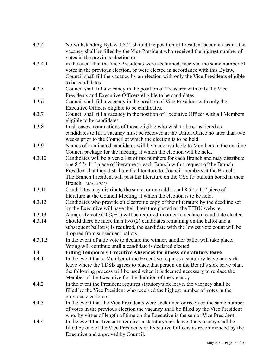| 4.3.4   | Notwithstanding Bylaw 4.3.2, should the position of President become vacant, the<br>vacancy shall be filled by the Vice President who received the highest number of                                                                                                                                                                        |
|---------|---------------------------------------------------------------------------------------------------------------------------------------------------------------------------------------------------------------------------------------------------------------------------------------------------------------------------------------------|
|         | votes in the previous election or,                                                                                                                                                                                                                                                                                                          |
| 4.3.4.1 | in the event that the Vice Presidents were acclaimed, received the same number of<br>votes in the previous election, or were elected in accordance with this Bylaw,<br>Council shall fill the vacancy by an election with only the Vice Presidents eligible                                                                                 |
|         | to be candidates.                                                                                                                                                                                                                                                                                                                           |
| 4.3.5   | Council shall fill a vacancy in the position of Treasurer with only the Vice<br>Presidents and Executive Officers eligible to be candidates.                                                                                                                                                                                                |
| 4.3.6   | Council shall fill a vacancy in the position of Vice President with only the<br>Executive Officers eligible to be candidates.                                                                                                                                                                                                               |
| 4.3.7   | Council shall fill a vacancy in the position of Executive Officer with all Members<br>eligible to be candidates.                                                                                                                                                                                                                            |
| 4.3.8   | In all cases, nominations of those eligible who wish to be considered as<br>candidates to fill a vacancy must be received at the Union Office no later than two<br>weeks prior to the Council at which the election is to be held.                                                                                                          |
| 4.3.9   | Names of nominated candidates will be made available to Members in the on-time<br>Council package for the meeting at which the election will be held.                                                                                                                                                                                       |
| 4.3.10  | Candidates will be given a list of fax numbers for each Branch and may distribute<br>one 8.5"x 11" piece of literature to each Branch with a request of the Branch<br>President that they distribute the literature to Council members at the Branch.<br>The Branch President will post the literature on the OSSTF bulletin board in their |
|         | Branch. (May 2021)                                                                                                                                                                                                                                                                                                                          |
| 4.3.11  | Candidates may distribute the same, or one additional 8.5" x 11" piece of<br>literature at the Council Meeting at which the election is to be held.                                                                                                                                                                                         |
| 4.3.12  | Candidates who provide an electronic copy of their literature by the deadline set<br>by the Executive will have their literature posted on the TTBU website.                                                                                                                                                                                |
| 4.3.13  | A majority vote $(50\% + 1)$ will be required in order to declare a candidate elected.                                                                                                                                                                                                                                                      |
| 4.3.14  | Should there be more than two (2) candidates remaining on the ballot and a<br>subsequent ballot(s) is required, the candidate with the lowest vote count will be<br>dropped from subsequent ballots.                                                                                                                                        |
| 4.3.1.5 | In the event of a tie vote to declare the winner, another ballot will take place.<br>Voting will continue until a candidate is declared elected.                                                                                                                                                                                            |
| 4.4     | <b>Filling Temporary Executive Absences for illness or statutory leave</b>                                                                                                                                                                                                                                                                  |
| 4.4.1   | In the event that a Member of the Executive requires a statutory leave or a sick<br>leave where the TDSB agrees to place that person on the Board's sick leave plan,<br>the following process will be used when it is deemed necessary to replace the<br>Member of the Executive for the duration of the vacancy.                           |
| 4.4.2   | In the event the President requires statutory/sick leave, the vacancy shall be<br>filled by the Vice President who received the highest number of votes in the<br>previous election or                                                                                                                                                      |
| 4.4.3   | In the event that the Vice Presidents were acclaimed or received the same number<br>of votes in the previous election the vacancy shall be filled by the Vice President<br>who, by virtue of length of time on the Executive is the senior Vice President.                                                                                  |
| 4.4.4   | In the event the Treasurer requires a statutory/sick leave, the vacancy shall be<br>filled by one of the Vice Presidents or Executive Officers as recommended by the<br>Executive and approved by Council.                                                                                                                                  |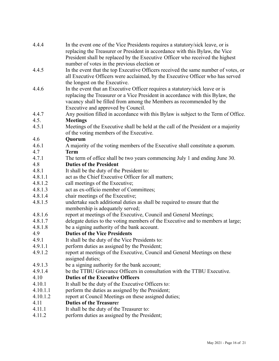| 4.4.4    | In the event one of the Vice Presidents requires a statutory/sick leave, or is<br>replacing the Treasurer or President in accordance with this Bylaw, the Vice                                                                                                               |
|----------|------------------------------------------------------------------------------------------------------------------------------------------------------------------------------------------------------------------------------------------------------------------------------|
|          | President shall be replaced by the Executive Officer who received the highest<br>number of votes in the previous election or                                                                                                                                                 |
| 4.4.5    | In the event that the top Executive Officers received the same number of votes, or                                                                                                                                                                                           |
|          | all Executive Officers were acclaimed, by the Executive Officer who has served<br>the longest on the Executive.                                                                                                                                                              |
| 4.4.6    | In the event that an Executive Officer requires a statutory/sick leave or is<br>replacing the Treasurer or a Vice President in accordance with this Bylaw, the<br>vacancy shall be filled from among the Members as recommended by the<br>Executive and approved by Council. |
| 4.4.7    | Any position filled in accordance with this Bylaw is subject to the Term of Office.                                                                                                                                                                                          |
| 4.5.     | <b>Meetings</b>                                                                                                                                                                                                                                                              |
| 4.5.1    | Meetings of the Executive shall be held at the call of the President or a majority<br>of the voting members of the Executive.                                                                                                                                                |
| 4.6      | Quorum                                                                                                                                                                                                                                                                       |
| 4.6.1    | A majority of the voting members of the Executive shall constitute a quorum.                                                                                                                                                                                                 |
| 4.7      | <b>Term</b>                                                                                                                                                                                                                                                                  |
| 4.7.1    | The term of office shall be two years commencing July 1 and ending June 30.                                                                                                                                                                                                  |
| 4.8      | <b>Duties of the President</b>                                                                                                                                                                                                                                               |
| 4.8.1    | It shall be the duty of the President to:                                                                                                                                                                                                                                    |
| 4.8.1.1  | act as the Chief Executive Officer for all matters;                                                                                                                                                                                                                          |
| 4.8.1.2  | call meetings of the Executive;                                                                                                                                                                                                                                              |
| 4.8.1.3  | act as ex-officio member of Committees;                                                                                                                                                                                                                                      |
| 4.8.1.4  | chair meetings of the Executive;                                                                                                                                                                                                                                             |
| 4.8.1.5  | undertake such additional duties as shall be required to ensure that the<br>membership is adequately served;                                                                                                                                                                 |
| 4.8.1.6  | report at meetings of the Executive, Council and General Meetings;                                                                                                                                                                                                           |
| 4.8.1.7  | delegate duties to the voting members of the Executive and to members at large;                                                                                                                                                                                              |
| 4.8.1.8  | be a signing authority of the bank account.                                                                                                                                                                                                                                  |
| 4.9      | <b>Duties of the Vice Presidents</b>                                                                                                                                                                                                                                         |
| 4.9.1    | It shall be the duty of the Vice Presidents to:                                                                                                                                                                                                                              |
| 4.9.1.1  | perform duties as assigned by the President;                                                                                                                                                                                                                                 |
| 4.9.1.2  | report at meetings of the Executive, Council and General Meetings on these<br>assigned duties;                                                                                                                                                                               |
| 4.9.1.3  | be a signing authority for the bank account;                                                                                                                                                                                                                                 |
| 4.9.1.4  | be the TTBU Grievance Officers in consultation with the TTBU Executive.                                                                                                                                                                                                      |
| 4.10     | <b>Duties of the Executive Officers</b>                                                                                                                                                                                                                                      |
| 4.10.1   | It shall be the duty of the Executive Officers to:                                                                                                                                                                                                                           |
| 4.10.1.1 | perform the duties as assigned by the President;                                                                                                                                                                                                                             |
| 4.10.1.2 | report at Council Meetings on these assigned duties;                                                                                                                                                                                                                         |
| 4.11     | <b>Duties of the Treasurer</b>                                                                                                                                                                                                                                               |
| 4.11.1   | It shall be the duty of the Treasurer to:                                                                                                                                                                                                                                    |
| 4.11.2   | perform duties as assigned by the President;                                                                                                                                                                                                                                 |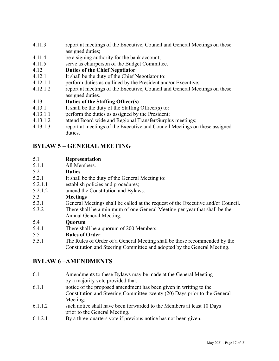- 4.11.3 report at meetings of the Executive, Council and General Meetings on these assigned duties;
- 4.11.4 be a signing authority for the bank account;
- 4.11.5 serve as chairperson of the Budget Committee.
- 4.12 **Duties of the Chief Negotiator**
- 4.12.1 It shall be the duty of the Chief Negotiator to:
- 4.12.1.1 perform duties as outlined by the President and/or Executive;
- 4.12.1.2 report at meetings of the Executive, Council and General Meetings on these assigned duties.

#### 4.13 **Duties of the Staffing Officer(s)**

- 4.13.1 It shall be the duty of the Staffing Officer(s) to:
- 4.13.1.1 perform the duties as assigned by the President;
- 4.13.1.2 attend Board wide and Regional Transfer/Surplus meetings;
- 4.13.1.3 report at meetings of the Executive and Council Meetings on these assigned duties.

# **BYLAW 5** – **GENERAL MEETING**

#### 5.1 **Representation**

5.1.1 All Members.

#### 5.2 **Duties**

- 5.2.1 It shall be the duty of the General Meeting to:
- 5.2.1.1 establish policies and procedures;
- 5.2.1.2 amend the Constitution and Bylaws.
- 5.3 **Meetings**
- 5.3.1 General Meetings shall be called at the request of the Executive and/or Council.
- 5.3.2 There shall be a minimum of one General Meeting per year that shall be the Annual General Meeting.

#### 5.4 **Quorum**

- 5.4.1 There shall be a quorum of 200 Members.
- 5.5 **Rules of Order**
- 5.5.1 The Rules of Order of a General Meeting shall be those recommended by the Constitution and Steering Committee and adopted by the General Meeting.

# **BYLAW 6** –**AMENDMENTS**

- 6.1 Amendments to these Bylaws may be made at the General Meeting by a majority vote provided that:
- 6.1.1 notice of the proposed amendment has been given in writing to the Constitution and Steering Committee twenty (20) Days prior to the General Meeting;
- 6.1.1.2 such notice shall have been forwarded to the Members at least 10 Days prior to the General Meeting.
- 6.1.2.1 By a three-quarters vote if previous notice has not been given.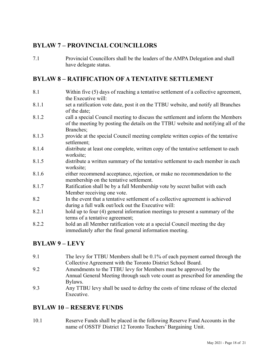# **BYLAW 7 – PROVINCIAL COUNCILLORS**

7.1 Provincial Councillors shall be the leaders of the AMPA Delegation and shall have delegate status.

## **BYLAW 8 – RATIFICATION OF A TENTATIVE SETTLEMENT**

- 8.1 Within five (5) days of reaching a tentative settlement of a collective agreement, the Executive will:
- 8.1.1 set a ratification vote date, post it on the TTBU website, and notify all Branches of the date;
- 8.1.2 call a special Council meeting to discuss the settlement and inform the Members of the meeting by posting the details on the TTBU website and notifying all of the Branches;
- 8.1.3 provide at the special Council meeting complete written copies of the tentative settlement;
- 8.1.4 distribute at least one complete, written copy of the tentative settlement to each worksite;
- 8.1.5 distribute a written summary of the tentative settlement to each member in each worksite;
- 8.1.6 either recommend acceptance, rejection, or make no recommendation to the membership on the tentative settlement.
- 8.1.7 Ratification shall be by a full Membership vote by secret ballot with each Member receiving one vote.
- 8.2 In the event that a tentative settlement of a collective agreement is achieved during a full walk out/lock out the Executive will:
- 8.2.1 hold up to four (4) general information meetings to present a summary of the terms of a tentative agreement;
- 8.2.2 hold an all Member ratification vote at a special Council meeting the day immediately after the final general information meeting.

# **BYLAW 9 – LEVY**

- 9.1 The levy for TTBU Members shall be 0.1% of each payment earned through the Collective Agreement with the Toronto District School Board.
- 9.2 Amendments to the TTBU levy for Members must be approved by the Annual General Meeting through such vote count as prescribed for amending the Bylaws.
- 9.3 Any TTBU levy shall be used to defray the costs of time release of the elected Executive.

## **BYLAW 10 – RESERVE FUNDS**

10.1 Reserve Funds shall be placed in the following Reserve Fund Accounts in the name of OSSTF District 12 Toronto Teachers' Bargaining Unit.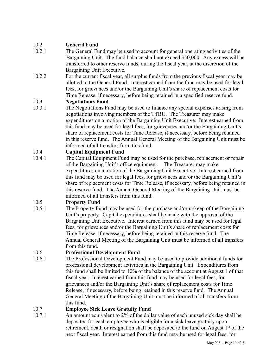#### 10.2 **General Fund**

- 10.2.1 The General Fund may be used to account for general operating activities of the Bargaining Unit. The fund balance shall not exceed \$50,000. Any excess will be transferred to other reserve funds, during the fiscal year, at the discretion of the Bargaining Unit Executive.
- 10.2.2 For the current fiscal year, all surplus funds from the previous fiscal year may be allotted to the General Fund. Interest earned from the fund may be used for legal fees, for grievances and/or the Bargaining Unit's share of replacement costs for Time Release, if necessary, before being retained in a specified reserve fund.

#### 10.3 **Negotiations Fund**

10.3.1 The Negotiations Fund may be used to finance any special expenses arising from negotiations involving members of the TTBU. The Treasurer may make expenditures on a motion of the Bargaining Unit Executive. Interest earned from this fund may be used for legal fees, for grievances and/or the Bargaining Unit's share of replacement costs for Time Release, if necessary, before being retained in this reserve fund. The Annual General Meeting of the Bargaining Unit must be informed of all transfers from this fund.

#### 10.4 **Capital Equipment Fund**

10.4.1 The Capital Equipment Fund may be used for the purchase, replacement or repair of the Bargaining Unit's office equipment. The Treasurer may make expenditures on a motion of the Bargaining Unit Executive. Interest earned from this fund may be used for legal fees, for grievances and/or the Bargaining Unit's share of replacement costs for Time Release, if necessary, before being retained in this reserve fund. The Annual General Meeting of the Bargaining Unit must be informed of all transfers from this fund.

#### 10.5 **Property Fund**

10.5.1 The Property Fund may be used for the purchase and/or upkeep of the Bargaining Unit's property. Capital expenditures shall be made with the approval of the Bargaining Unit Executive. Interest earned from this fund may be used for legal fees, for grievances and/or the Bargaining Unit's share of replacement costs for Time Release, if necessary, before being retained in this reserve fund. The Annual General Meeting of the Bargaining Unit must be informed of all transfers from this fund.

#### 10.6 **Professional Development Fund**

10.6.1 The Professional Development Fund may be used to provide additional funds for professional development activities in the Bargaining Unit. Expenditures from this fund shall be limited to 10% of the balance of the account at August 1 of that fiscal year. Interest earned from this fund may be used for legal fees, for grievances and/or the Bargaining Unit's share of replacement costs for Time Release, if necessary, before being retained in this reserve fund. The Annual General Meeting of the Bargaining Unit must be informed of all transfers from this fund.

#### 10.7 **Employee Sick Leave Gratuity Fund**

10.7.1 An amount equivalent to 2% of the dollar value of each unused sick day shall be deposited for each employee who is eligible for a sick leave gratuity upon retirement, death or resignation shall be deposited to the fund on August  $1<sup>st</sup>$  of the next fiscal year. Interest earned from this fund may be used for legal fees, for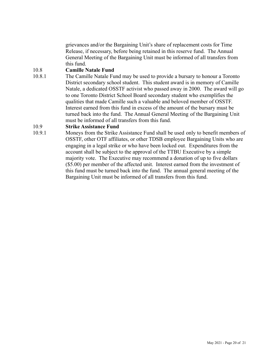grievances and/or the Bargaining Unit's share of replacement costs for Time Release, if necessary, before being retained in this reserve fund. The Annual General Meeting of the Bargaining Unit must be informed of all transfers from this fund.

#### 10.8 **Camille Natale Fund**

10.8.1 The Camille Natale Fund may be used to provide a bursary to honour a Toronto District secondary school student. This student award is in memory of Camille Natale, a dedicated OSSTF activist who passed away in 2000. The award will go to one Toronto District School Board secondary student who exemplifies the qualities that made Camille such a valuable and beloved member of OSSTF. Interest earned from this fund in excess of the amount of the bursary must be turned back into the fund. The Annual General Meeting of the Bargaining Unit must be informed of all transfers from this fund.

#### 10.9 **Strike Assistance Fund**

10.9.1 Moneys from the Strike Assistance Fund shall be used only to benefit members of OSSTF, other OTF affiliates, or other TDSB employee Bargaining Units who are engaging in a legal strike or who have been locked out. Expenditures from the account shall be subject to the approval of the TTBU Executive by a simple majority vote. The Executive may recommend a donation of up to five dollars (\$5.00) per member of the affected unit. Interest earned from the investment of this fund must be turned back into the fund. The annual general meeting of the Bargaining Unit must be informed of all transfers from this fund.